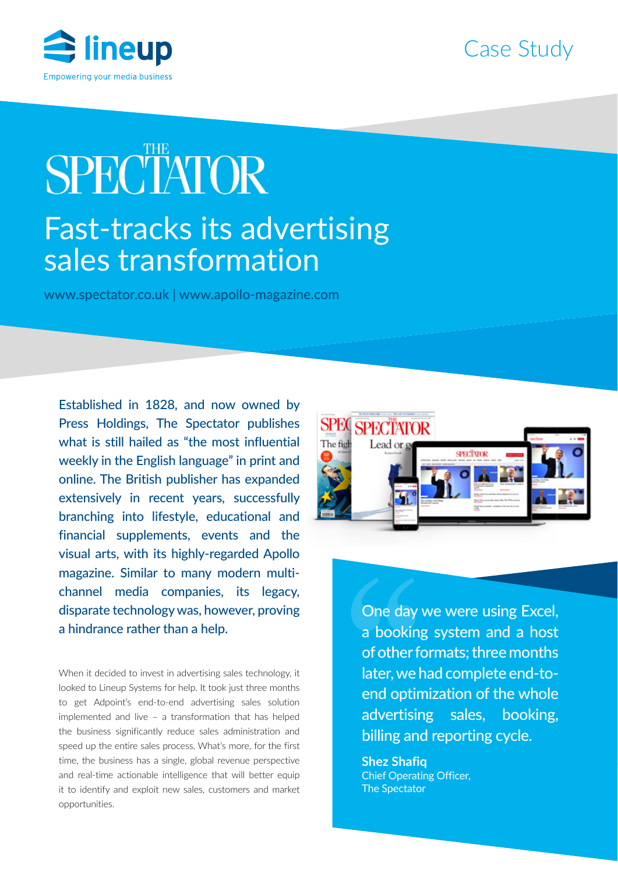



# **SPECTATOR** Fast-tracks its advertising sales transformation

www.spectator.co.uk | www.apollo-magazine.com

Established in 1828, and now owned by Press Holdings, The Spectator publishes what is still hailed as "the most influential weekly in the English language" in print and online. The British publisher has expanded extensively in recent years, successfully branching into lifestyle, educational and financial supplements, events and the visual arts, with its highly-regarded Apollo magazine. Similar to many modern multichannel media companies, its legacy, disparate technology was, however, proving a hindrance rather than a help.

When it decided to invest in advertising sales technology, it looked to Lineup Systems for help. It took just three months to get Adpoint's end-to-end advertising sales solution implemented and live – a transformation that has helped the business significantly reduce sales administration and speed up the entire sales process. What's more, for the first time, the business has a single, global revenue perspective and real-time actionable intelligence that will better equip it to identify and exploit new sales, customers and market opportunities.



One day we were using Excel, a booking system and a host of other formats; three months later, we had complete end-toend optimization of the whole advertising sales, booking, billing and reporting cycle.

**Shez Shafiq** Chief Operating Officer, The Spectator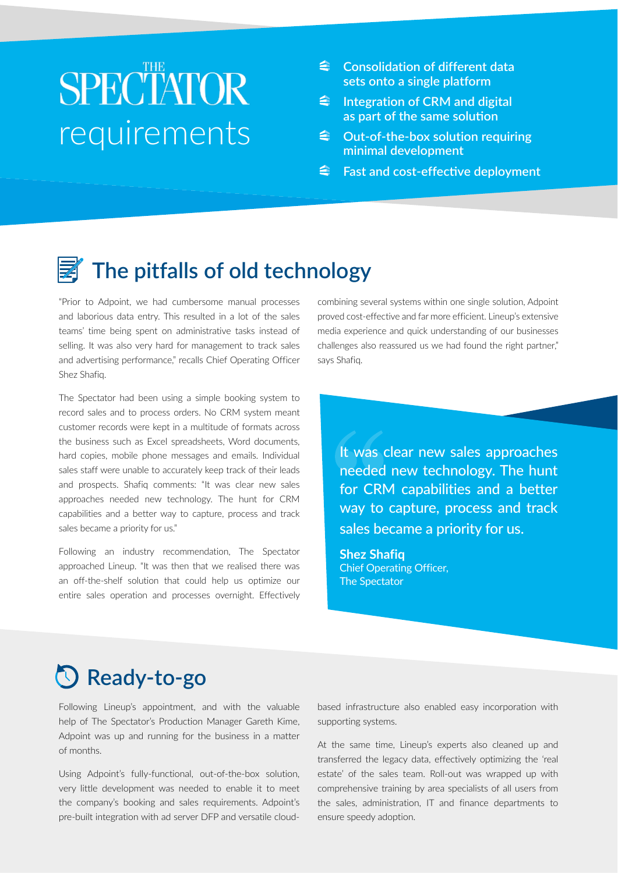## **SPECTATOR** requirements

- **Consolidation of different data sets onto a single platform**
- **Integration of CRM and digital as part of the same solution**
- **Out-of-the-box solution requiring minimal development**
- **<u>***<del>f</del>*</u> Fast and cost-effective deployment

### **The pitfalls of old technology**

"Prior to Adpoint, we had cumbersome manual processes and laborious data entry. This resulted in a lot of the sales teams' time being spent on administrative tasks instead of selling. It was also very hard for management to track sales and advertising performance," recalls Chief Operating Officer Shez Shafiq.

The Spectator had been using a simple booking system to record sales and to process orders. No CRM system meant customer records were kept in a multitude of formats across the business such as Excel spreadsheets, Word documents, hard copies, mobile phone messages and emails. Individual sales staff were unable to accurately keep track of their leads and prospects. Shafiq comments: "It was clear new sales approaches needed new technology. The hunt for CRM capabilities and a better way to capture, process and track sales became a priority for us."

Following an industry recommendation, The Spectator approached Lineup. "It was then that we realised there was an off-the-shelf solution that could help us optimize our entire sales operation and processes overnight. Effectively combining several systems within one single solution, Adpoint proved cost-effective and far more efficient. Lineup's extensive media experience and quick understanding of our businesses challenges also reassured us we had found the right partner," says Shafiq.

It was clear new sales approaches needed new technology. The hunt for CRM capabilities and a better way to capture, process and track sales became a priority for us.

**Shez Shafiq** Chief Operating Officer, The Spectator

### **Ready-to-go**

Following Lineup's appointment, and with the valuable help of The Spectator's Production Manager Gareth Kime, Adpoint was up and running for the business in a matter of months.

Using Adpoint's fully-functional, out-of-the-box solution, very little development was needed to enable it to meet the company's booking and sales requirements. Adpoint's pre-built integration with ad server DFP and versatile cloudbased infrastructure also enabled easy incorporation with supporting systems.

At the same time, Lineup's experts also cleaned up and transferred the legacy data, effectively optimizing the 'real estate' of the sales team. Roll-out was wrapped up with comprehensive training by area specialists of all users from the sales, administration, IT and finance departments to ensure speedy adoption.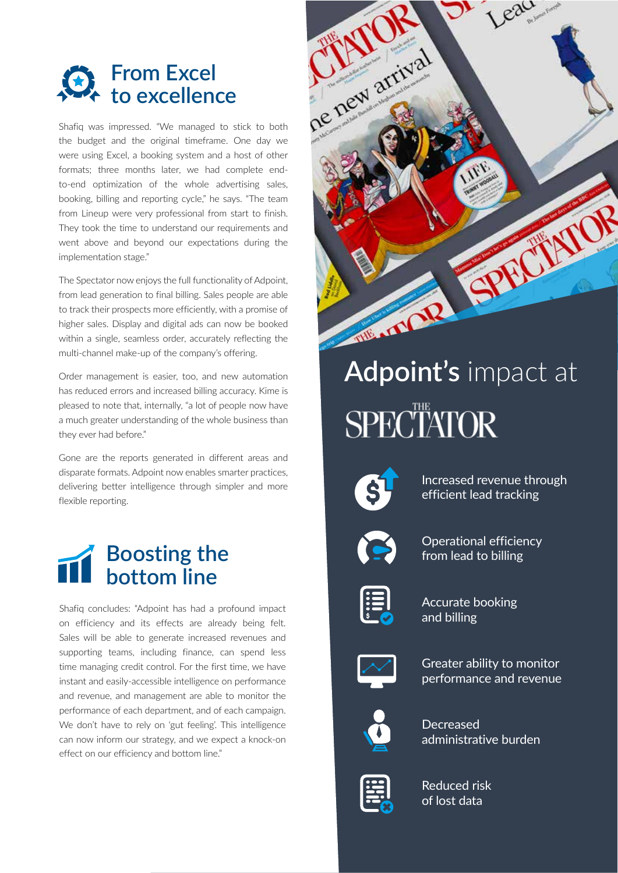

the budget and the original timeframe. One day we were using Excel, a booking system and a host of other formats; three months later, we had complete endto-end optimization of the whole advertising sales, booking, billing and reporting cycle," he says. "The team from Lineup were very professional from start to finish. They took the time to understand our requirements and went above and beyond our expectations during the implementation stage."

The Spectator now enjoys the full functionality of Adpoint, from lead generation to final billing. Sales people are able to track their prospects more efficiently, with a promise of higher sales. Display and digital ads can now be booked within a single, seamless order, accurately reflecting the multi-channel make-up of the company's offering.

Order management is easier, too, and new automation has reduced errors and increased billing accuracy. Kime is pleased to note that, internally, "a lot of people now have a much greater understanding of the whole business than they ever had before."

Gone are the reports generated in different areas and disparate formats. Adpoint now enables smarter practices, delivering better intelligence through simpler and more flexible reporting.



Shafiq concludes: "Adpoint has had a profound impact on efficiency and its effects are already being felt. Sales will be able to generate increased revenues and supporting teams, including finance, can spend less time managing credit control. For the first time, we have instant and easily-accessible intelligence on performance and revenue, and management are able to monitor the performance of each department, and of each campaign. We don't have to rely on 'gut feeling'. This intelligence can now inform our strategy, and we expect a knock-on effect on our efficiency and bottom line."



## **Adpoint's** impact at **SPECTATOR**



Increased revenue through efficient lead tracking



Operational efficiency from lead to billing



Accurate booking and billing



Greater ability to monitor performance and revenue



Decreased administrative burden



Reduced risk of lost data